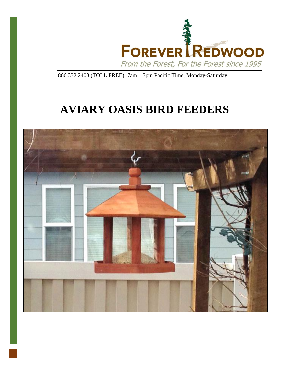

866.332.2403 (TOLL FREE); 7am – 7pm Pacific Time, Monday-Saturday

# **AVIARY OASIS BIRD FEEDERS**

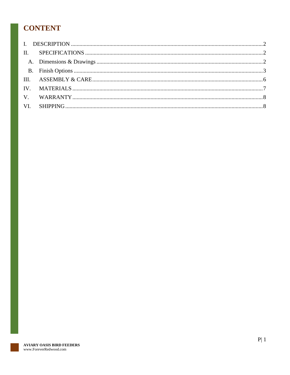# **CONTENT**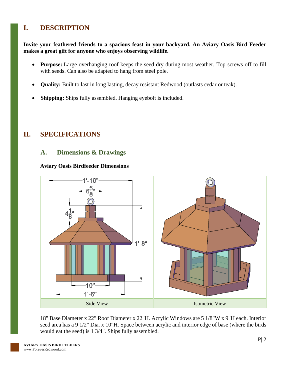# <span id="page-2-0"></span>**I. DESCRIPTION**

#### **Invite your feathered friends to a spacious feast in your backyard. An Aviary Oasis Bird Feeder makes a great gift for anyone who enjoys observing wildlife.**

- **Purpose:** Large overhanging roof keeps the seed dry during most weather. Top screws off to fill with seeds. Can also be adapted to hang from steel pole.
- **Quality:** Built to last in long lasting, decay resistant Redwood (outlasts cedar or teak).
- **Shipping:** Ships fully assembled. Hanging eyebolt is included.

### <span id="page-2-2"></span><span id="page-2-1"></span>**II. SPECIFICATIONS**

### **A. Dimensions & Drawings**

#### **Aviary Oasis Birdfeeder Dimensions**



18" Base Diameter x 22" Roof Diameter x 22"H. Acrylic Windows are 5 1/8"W x 9"H each. Interior seed area has a 9 1/2" Dia. x 10"H. Space between acrylic and interior edge of base (where the birds would eat the seed) is 1 3/4". Ships fully assembled.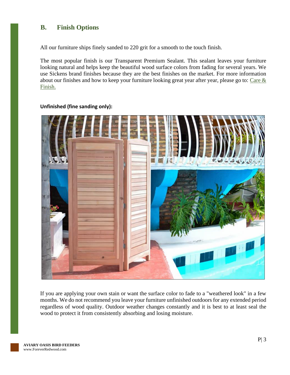### <span id="page-3-0"></span>**B. Finish Options**

All our furniture ships finely sanded to 220 grit for a smooth to the touch finish.

The most popular finish is our Transparent Premium Sealant. This sealant leaves your furniture looking natural and helps keep the beautiful wood surface colors from fading for several years. We use Sickens brand finishes because they are the best finishes on the market. For more information about our finishes and how to keep your furniture looking great year after year, please go to: Care  $\&$ [Finish.](https://www.foreverredwood.com/redwood-furniture/care-finish/)



#### **Unfinished (fine sanding only):**

If you are applying your own stain or want the surface color to fade to a "weathered look" in a few months. We do not recommend you leave your furniture unfinished outdoors for any extended period regardless of wood quality. Outdoor weather changes constantly and it is best to at least seal the wood to protect it from consistently absorbing and losing moisture.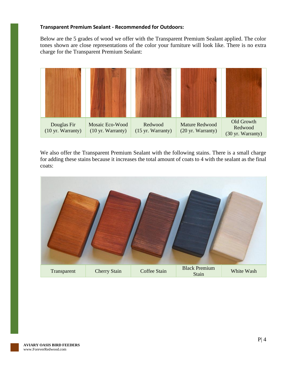#### **Transparent Premium Sealant - Recommended for Outdoors:**

Below are the 5 grades of wood we offer with the Transparent Premium Sealant applied. The color tones shown are close representations of the color your furniture will look like. There is no extra charge for the Transparent Premium Sealant:



We also offer the Transparent Premium Sealant with the following stains. There is a small charge for adding these stains because it increases the total amount of coats to 4 with the sealant as the final coats:

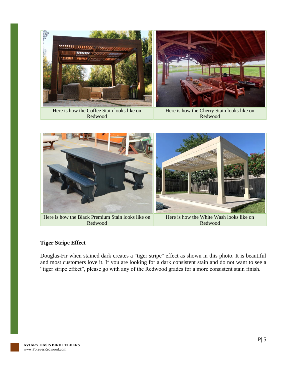

Here is how the Coffee Stain looks like on Redwood

Here is how the Cherry Stain looks like on Redwood



Here is how the Black Premium Stain looks like on Redwood

Here is how the White Wash looks like on Redwood

#### **Tiger Stripe Effect**

Douglas-Fir when stained dark creates a "tiger stripe" effect as shown in this photo. It is beautiful and most customers love it. If you are looking for a dark consistent stain and do not want to see a "tiger stripe effect", please go with any of the Redwood grades for a more consistent stain finish.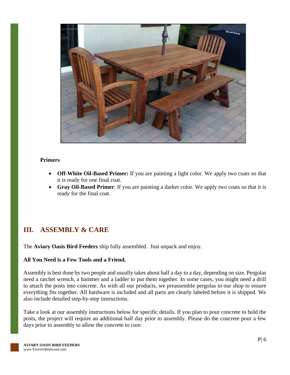

#### **Primers**

- **Off-White Oil-Based Primer:** If you are painting a light color. We apply two coats so that it is ready for one final coat.
- **Gray Oil-Based Primer**: If you are painting a darker color. We apply two coats so that it is ready for the final coat.

### <span id="page-6-0"></span>**III. ASSEMBLY & CARE**

The **Aviary Oasis Bird Feeders** ship fully assembled. Just unpack and enjoy.

#### **All You Need is a Few Tools and a Friend.**

Assembly is best done by two people and usually takes about half a day to a day, depending on size. Pergolas need a ratchet wrench, a hammer and a ladder to put them together. In some cases, you might need a drill to attach the posts into concrete. As with all our products, we preassemble pergolas in our shop to ensure everything fits together. All hardware is included and all parts are clearly labeled before it is shipped. We also include detailed step-by-step instructions.

Take a look at our assembly instructions below for specific details. If you plan to pour concrete to hold the posts, the project will require an additional half day prior to assembly. Please do the concrete pour a few days prior to assembly to allow the concrete to cure.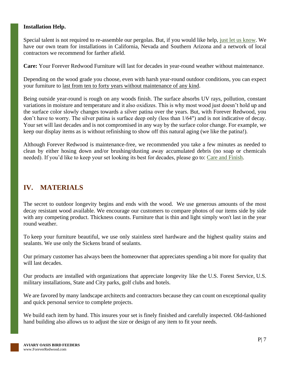#### **Installation Help.**

Special talent is not required to re-assemble our pergolas. But, if you would like help, [just let us know.](https://www.foreverredwood.com/information/contact) We have our own team for installations in California, Nevada and Southern Arizona and a network of local contractors we recommend for farther afield.

**Care:** Your Forever Redwood Furniture will last for decades in year-round weather without maintenance.

Depending on the wood grade you choose, even with harsh year-round outdoor conditions, you can expect your furniture to last from ten to forty years without maintenance of any kind.

Being outside year-round is rough on any woods finish. The surface absorbs UV rays, pollution, constant variations in moisture and temperature and it also oxidizes. This is why most wood just doesn't hold up and the surface color slowly changes towards a silver patina over the years. But, with Forever Redwood, you don't have to worry. The silver patina is surface deep only (less than 1/64") and is not indicative of decay. Your set will last decades and is not compromised in any way by the surface color change. For example, we keep our display items as is without refinishing to show off this natural aging (we like the patina!).

Although Forever Redwood is maintenance-free, we recommended you take a few minutes as needed to clean by either hosing down and/or brushing/dusting away accumulated debris (no soap or chemicals needed). If you'd like to keep your set looking its best for decades, please go to: [Care and Finish.](https://www.foreverredwood.com/redwood-furniture/care-finish)

### <span id="page-7-0"></span>**IV. MATERIALS**

The secret to outdoor longevity begins and ends with the wood. We use generous amounts of the most decay resistant wood available. We encourage our customers to compare photos of our items side by side with any competing product. Thickness counts. Furniture that is thin and light simply won't last in the year round weather.

To keep your furniture beautiful, we use only stainless steel hardware and the highest quality stains and sealants. We use only the Sickens brand of sealants.

Our primary customer has always been the homeowner that appreciates spending a bit more for quality that will last decades.

Our products are installed with organizations that appreciate longevity like the U.S. Forest Service, U.S. military installations, State and City parks, golf clubs and hotels.

We are favored by many landscape architects and contractors because they can count on exceptional quality and quick personal service to complete projects.

We build each item by hand. This insures your set is finely finished and carefully inspected. Old-fashioned hand building also allows us to adjust the size or design of any item to fit your needs.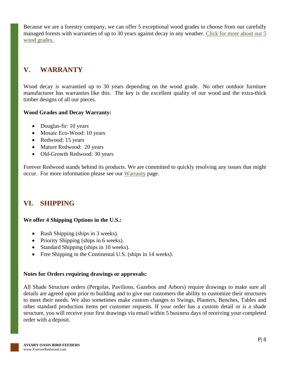Because we are a forestry company, we can offer 5 exceptional wood grades to choose from our carefully managed forests with warranties of up to 30 years against decay in any weather. [Click for more about our 5](https://www.foreverredwood.com/redwood-furniture/wood-grade/)  [wood grades.](https://www.foreverredwood.com/redwood-furniture/wood-grade/)

# <span id="page-8-0"></span>**V. WARRANTY**

Wood decay is warrantied up to 30 years depending on the wood grade. No other outdoor furniture manufacturer has warranties like this. The key is the excellent quality of our wood and the extra-thick timber designs of all our pieces.

#### **Wood Grades and Decay Warranty:**

- Douglas-fir: 10 years
- Mosaic Eco-Wood: 10 years
- Redwood: 15 years
- Mature Redwood: 20 years
- Old-Growth Redwood: 30 years

Forever Redwood stands behind its products. We are committed to quickly resolving any issues that might occur. For more information please see our [Warranty](https://www.foreverredwood.com/redwood-furniture/warranty) page.

### <span id="page-8-1"></span>**VI. SHIPPING**

#### **We offer 4 Shipping Options in the U.S.:**

- Rush Shipping (ships in 3 weeks).
- Priority Shipping (ships in 6 weeks).
- Standard Shipping (ships in 10 weeks).
- Free Shipping in the Continental U.S. (ships in 14 weeks).

### **Notes for Orders requiring drawings or approvals:**

All Shade Structure orders (Pergolas, Pavilions, Gazebos and Arbors) require drawings to make sure all details are agreed upon prior to building and to give our customers the ability to customize their structures to meet their needs. We also sometimes make custom changes to Swings, Planters, Benches, Tables and other standard production items per customer requests. If your order has a custom detail or is a shade structure, you will receive your first drawings via email within 5 business days of receiving your completed order with a deposit.